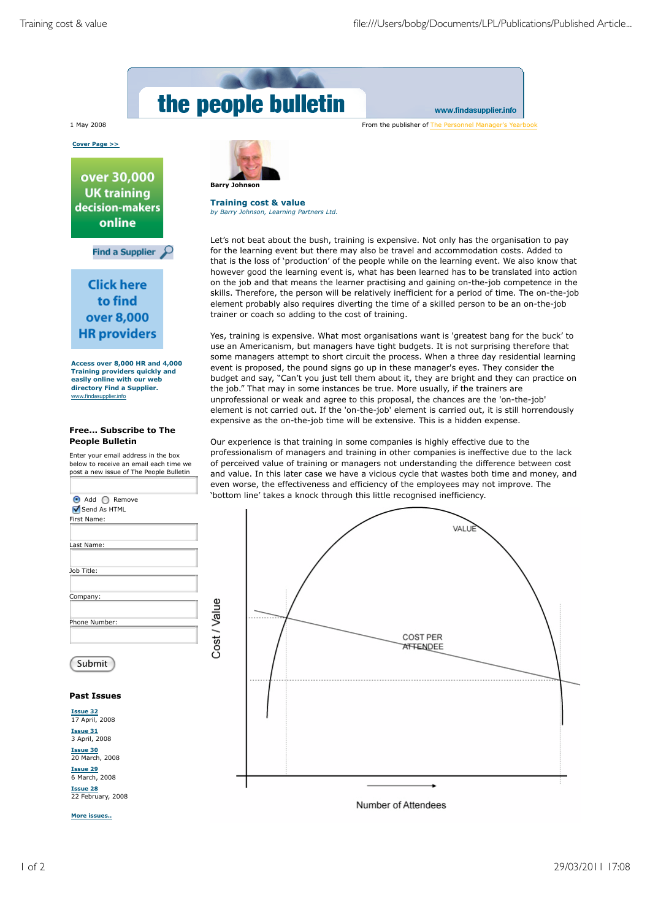

www.findasupplier.info

1 May 2008 From the publisher of The Personnel Manager's Yearbook

**Cover Page >>**

over 30,000 **UK training** decision-makers online

Find a Supplier  $\mathcal{P}$ 

**Click here** to find over 8,000 **HR** providers

**Access over 8,000 HR and 4,000 Training providers quickly and easily online with our web directory Find a Supplier.** www.findasupplier.info

## **Free... Subscribe to The People Bulletin**

Enter your email address in the box below to receive an email each time we post a new issue of The People Bulletin



**More issues..**



**Training cost & value** *by Barry Johnson, Learning Partners Ltd.*

Let's not beat about the bush, training is expensive. Not only has the organisation to pay for the learning event but there may also be travel and accommodation costs. Added to that is the loss of 'production' of the people while on the learning event. We also know that however good the learning event is, what has been learned has to be translated into action on the job and that means the learner practising and gaining on-the-job competence in the skills. Therefore, the person will be relatively inefficient for a period of time. The on-the-job element probably also requires diverting the time of a skilled person to be an on-the-job trainer or coach so adding to the cost of training.

Yes, training is expensive. What most organisations want is 'greatest bang for the buck' to use an Americanism, but managers have tight budgets. It is not surprising therefore that some managers attempt to short circuit the process. When a three day residential learning event is proposed, the pound signs go up in these manager's eyes. They consider the budget and say, "Can't you just tell them about it, they are bright and they can practice on the job." That may in some instances be true. More usually, if the trainers are unprofessional or weak and agree to this proposal, the chances are the 'on-the-job' element is not carried out. If the 'on-the-job' element is carried out, it is still horrendously expensive as the on-the-job time will be extensive. This is a hidden expense.

Our experience is that training in some companies is highly effective due to the professionalism of managers and training in other companies is ineffective due to the lack of perceived value of training or managers not understanding the difference between cost and value. In this later case we have a vicious cycle that wastes both time and money, and even worse, the effectiveness and efficiency of the employees may not improve. The 'bottom line' takes a knock through this little recognised inefficiency.